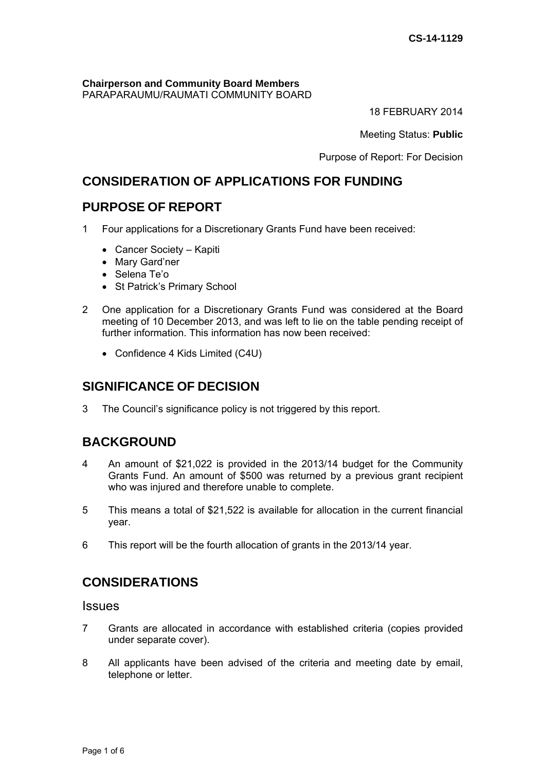#### **Chairperson and Community Board Members** PARAPARAUMU/RAUMATI COMMUNITY BOARD

18 FEBRUARY 2014

Meeting Status: **Public**

Purpose of Report: For Decision

# **CONSIDERATION OF APPLICATIONS FOR FUNDING**

# **PURPOSE OF REPORT**

- 1 Four applications for a Discretionary Grants Fund have been received:
	- Cancer Society Kapiti
	- Mary Gard'ner
	- Selena Te'o
	- St Patrick's Primary School
- 2 One application for a Discretionary Grants Fund was considered at the Board meeting of 10 December 2013, and was left to lie on the table pending receipt of further information. This information has now been received:
	- Confidence 4 Kids Limited (C4U)

# **SIGNIFICANCE OF DECISION**

3 The Council's significance policy is not triggered by this report.

# **BACKGROUND**

- 4 An amount of \$21,022 is provided in the 2013/14 budget for the Community Grants Fund. An amount of \$500 was returned by a previous grant recipient who was injured and therefore unable to complete.
- 5 This means a total of \$21,522 is available for allocation in the current financial year.
- 6 This report will be the fourth allocation of grants in the 2013/14 year.

# **CONSIDERATIONS**

## Issues

- 7 Grants are allocated in accordance with established criteria (copies provided under separate cover).
- 8 All applicants have been advised of the criteria and meeting date by email, telephone or letter.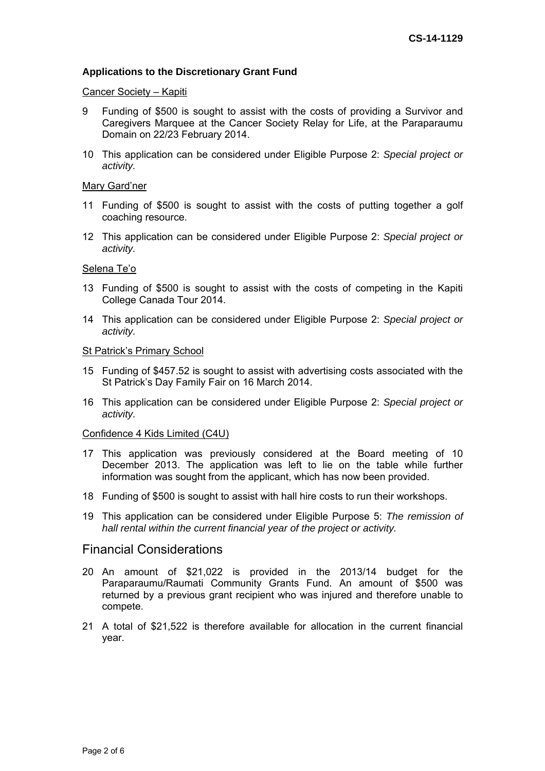## **Applications to the Discretionary Grant Fund**

#### Cancer Society – Kapiti

- 9 Funding of \$500 is sought to assist with the costs of providing a Survivor and Caregivers Marquee at the Cancer Society Relay for Life, at the Paraparaumu Domain on 22/23 February 2014.
- 10 This application can be considered under Eligible Purpose 2: *Special project or activity.*

#### Mary Gard'ner

- 11 Funding of \$500 is sought to assist with the costs of putting together a golf coaching resource.
- 12 This application can be considered under Eligible Purpose 2: *Special project or activity.*

### Selena Te'o

- 13 Funding of \$500 is sought to assist with the costs of competing in the Kapiti College Canada Tour 2014.
- 14 This application can be considered under Eligible Purpose 2: *Special project or activity.*

#### St Patrick's Primary School

- 15 Funding of \$457.52 is sought to assist with advertising costs associated with the St Patrick's Day Family Fair on 16 March 2014.
- 16 This application can be considered under Eligible Purpose 2: *Special project or activity.*

#### Confidence 4 Kids Limited (C4U)

- 17 This application was previously considered at the Board meeting of 10 December 2013. The application was left to lie on the table while further information was sought from the applicant, which has now been provided.
- 18 Funding of \$500 is sought to assist with hall hire costs to run their workshops.
- 19 This application can be considered under Eligible Purpose 5: *The remission of hall rental within the current financial year of the project or activity.*

## Financial Considerations

- 20 An amount of \$21,022 is provided in the 2013/14 budget for the Paraparaumu/Raumati Community Grants Fund. An amount of \$500 was returned by a previous grant recipient who was injured and therefore unable to compete.
- 21 A total of \$21,522 is therefore available for allocation in the current financial year.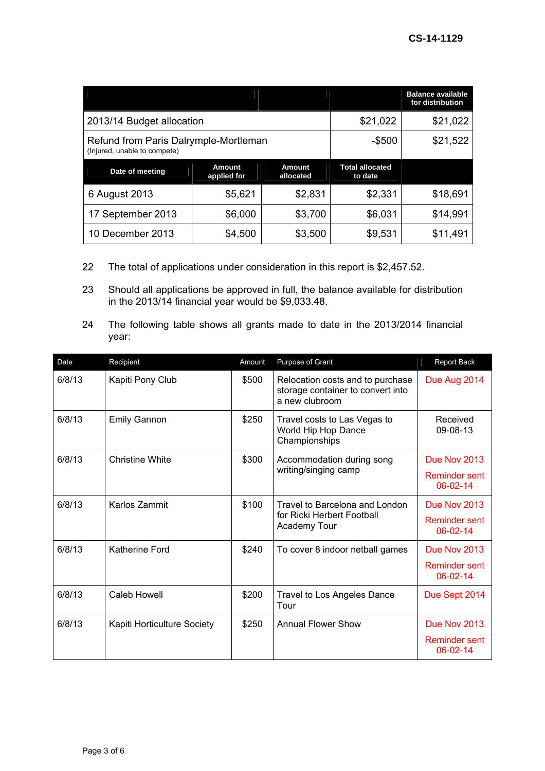|                                                                       |                       |                     |                                   | <b>Balance available</b><br>for distribution |
|-----------------------------------------------------------------------|-----------------------|---------------------|-----------------------------------|----------------------------------------------|
| 2013/14 Budget allocation                                             | \$21,022              | \$21,022            |                                   |                                              |
| Refund from Paris Dalrymple-Mortleman<br>(Injured, unable to compete) |                       |                     | $-$ \$500                         | \$21,522                                     |
| Date of meeting                                                       | Amount<br>applied for | Amount<br>allocated | <b>Total allocated</b><br>to date |                                              |
| 6 August 2013                                                         | \$5,621               | \$2,831             | \$2,331                           | \$18,691                                     |
| 17 September 2013                                                     | \$6,000               | \$3,700             | \$6,031                           | \$14,991                                     |
| 10 December 2013                                                      | \$4,500               | \$3,500             | \$9,531                           | \$11,491                                     |

- 22 The total of applications under consideration in this report is \$2,457.52.
- 23 Should all applications be approved in full, the balance available for distribution in the 2013/14 financial year would be \$9,033.48.
- 24 The following table shows all grants made to date in the 2013/2014 financial year:

| Date   | Recipient                   | Amount | Purpose of Grant                                                                        | <b>Report Back</b>                     |
|--------|-----------------------------|--------|-----------------------------------------------------------------------------------------|----------------------------------------|
| 6/8/13 | Kapiti Pony Club            | \$500  | Relocation costs and to purchase<br>storage container to convert into<br>a new clubroom | Due Aug 2014                           |
| 6/8/13 | <b>Emily Gannon</b>         | \$250  | Travel costs to Las Vegas to<br>World Hip Hop Dance<br>Championships                    | Received<br>09-08-13                   |
| 6/8/13 | <b>Christine White</b>      | \$300  | Accommodation during song<br>writing/singing camp                                       | Due Nov 2013                           |
|        |                             |        |                                                                                         | Reminder sent<br>$06 - 02 - 14$        |
| 6/8/13 | Karlos Zammit               | \$100  | Travel to Barcelona and London                                                          | <b>Due Nov 2013</b>                    |
|        |                             |        | for Ricki Herbert Football<br>Academy Tour                                              | <b>Reminder sent</b><br>06-02-14       |
| 6/8/13 | Katherine Ford              | \$240  | To cover 8 indoor netball games                                                         | <b>Due Nov 2013</b>                    |
|        |                             |        |                                                                                         | <b>Reminder sent</b><br>$06 - 02 - 14$ |
| 6/8/13 | <b>Caleb Howell</b>         | \$200  | Travel to Los Angeles Dance<br>Tour                                                     | Due Sept 2014                          |
| 6/8/13 | Kapiti Horticulture Society | \$250  | <b>Annual Flower Show</b>                                                               | Due Nov 2013                           |
|        |                             |        |                                                                                         | <b>Reminder sent</b><br>06-02-14       |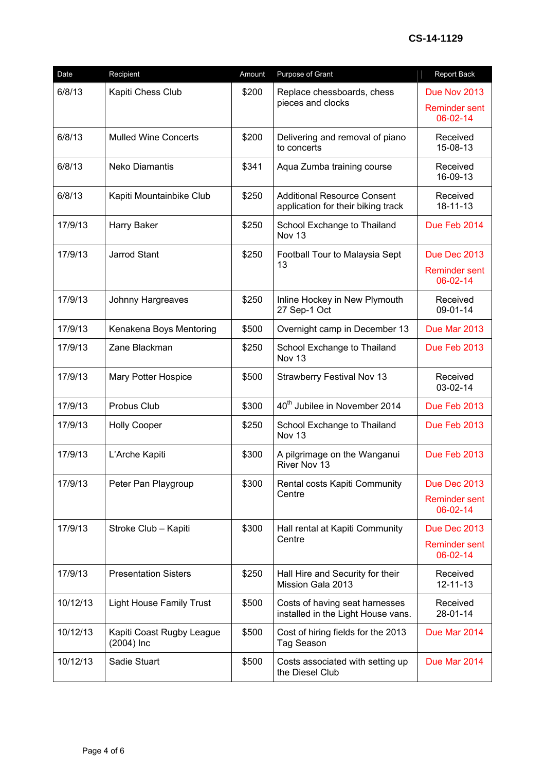| Date     | Recipient                                 | Amount | Purpose of Grant                                                         | Report Back                      |
|----------|-------------------------------------------|--------|--------------------------------------------------------------------------|----------------------------------|
| 6/8/13   | Kapiti Chess Club                         | \$200  | Replace chessboards, chess                                               | Due Nov 2013                     |
|          |                                           |        | pieces and clocks                                                        | <b>Reminder sent</b><br>06-02-14 |
| 6/8/13   | <b>Mulled Wine Concerts</b>               | \$200  | Delivering and removal of piano<br>to concerts                           | Received<br>15-08-13             |
| 6/8/13   | <b>Neko Diamantis</b>                     | \$341  | Aqua Zumba training course                                               | Received<br>16-09-13             |
| 6/8/13   | Kapiti Mountainbike Club                  | \$250  | <b>Additional Resource Consent</b><br>application for their biking track | Received<br>18-11-13             |
| 17/9/13  | Harry Baker                               | \$250  | School Exchange to Thailand<br>Nov 13                                    | Due Feb 2014                     |
| 17/9/13  | <b>Jarrod Stant</b>                       | \$250  | Football Tour to Malaysia Sept<br>13                                     | Due Dec 2013                     |
|          |                                           |        |                                                                          | <b>Reminder sent</b><br>06-02-14 |
| 17/9/13  | Johnny Hargreaves                         | \$250  | Inline Hockey in New Plymouth<br>27 Sep-1 Oct                            | Received<br>09-01-14             |
| 17/9/13  | Kenakena Boys Mentoring                   | \$500  | Overnight camp in December 13                                            | Due Mar 2013                     |
| 17/9/13  | Zane Blackman                             | \$250  | School Exchange to Thailand<br>Nov 13                                    | Due Feb 2013                     |
| 17/9/13  | Mary Potter Hospice                       | \$500  | <b>Strawberry Festival Nov 13</b>                                        | Received<br>03-02-14             |
| 17/9/13  | Probus Club                               | \$300  | 40 <sup>th</sup> Jubilee in November 2014                                | Due Feb 2013                     |
| 17/9/13  | <b>Holly Cooper</b>                       | \$250  | School Exchange to Thailand<br>Nov 13                                    | Due Feb 2013                     |
| 17/9/13  | L'Arche Kapiti                            | \$300  | A pilgrimage on the Wanganui<br>River Nov 13                             | Due Feb 2013                     |
| 17/9/13  | Peter Pan Playgroup                       | \$300  | Rental costs Kapiti Community                                            | Due Dec 2013                     |
|          |                                           |        | Centre                                                                   | <b>Reminder sent</b><br>06-02-14 |
| 17/9/13  | Stroke Club - Kapiti                      | \$300  | Hall rental at Kapiti Community<br>Centre                                | Due Dec 2013                     |
|          |                                           |        |                                                                          | <b>Reminder sent</b><br>06-02-14 |
| 17/9/13  | <b>Presentation Sisters</b>               | \$250  | Hall Hire and Security for their<br>Mission Gala 2013                    | Received<br>$12 - 11 - 13$       |
| 10/12/13 | <b>Light House Family Trust</b>           | \$500  | Costs of having seat harnesses<br>installed in the Light House vans.     | Received<br>28-01-14             |
| 10/12/13 | Kapiti Coast Rugby League<br>$(2004)$ Inc | \$500  | Cost of hiring fields for the 2013<br>Tag Season                         | Due Mar 2014                     |
| 10/12/13 | Sadie Stuart                              | \$500  | Costs associated with setting up<br>the Diesel Club                      | Due Mar 2014                     |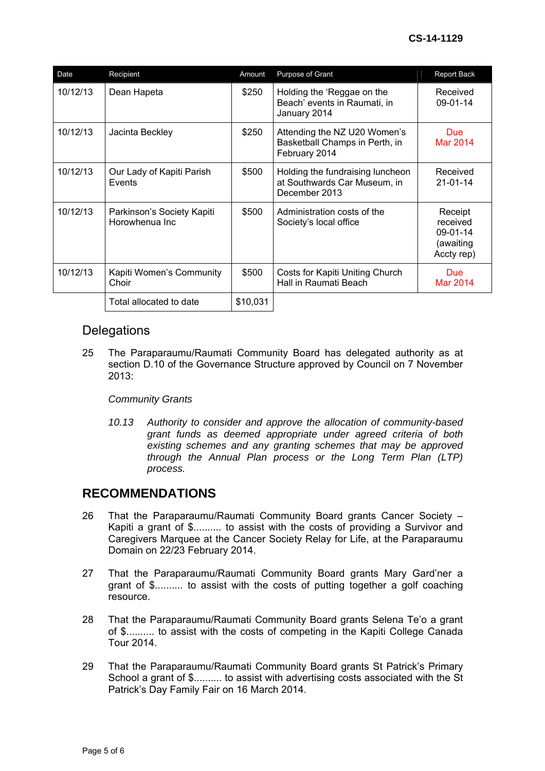| Date     | Recipient                                    | Amount   | Purpose of Grant                                                                  | <b>Report Back</b>                                         |
|----------|----------------------------------------------|----------|-----------------------------------------------------------------------------------|------------------------------------------------------------|
| 10/12/13 | Dean Hapeta                                  | \$250    | Holding the 'Reggae on the<br>Beach' events in Raumati, in<br>January 2014        | Received<br>09-01-14                                       |
| 10/12/13 | Jacinta Beckley                              | \$250    | Attending the NZ U20 Women's<br>Basketball Champs in Perth, in<br>February 2014   | <b>Due</b><br>Mar 2014                                     |
| 10/12/13 | Our Lady of Kapiti Parish<br>Events          | \$500    | Holding the fundraising luncheon<br>at Southwards Car Museum, in<br>December 2013 | Received<br>$21 - 01 - 14$                                 |
| 10/12/13 | Parkinson's Society Kapiti<br>Horowhenua Inc | \$500    | Administration costs of the<br>Society's local office                             | Receipt<br>received<br>09-01-14<br>(awaiting<br>Accty rep) |
| 10/12/13 | Kapiti Women's Community<br>Choir            | \$500    | Costs for Kapiti Uniting Church<br>Hall in Raumati Beach                          | <b>Due</b><br>Mar 2014                                     |
|          | Total allocated to date                      | \$10,031 |                                                                                   |                                                            |

## **Delegations**

25 The Paraparaumu/Raumati Community Board has delegated authority as at section D.10 of the Governance Structure approved by Council on 7 November 2013:

## *Community Grants*

*10.13 Authority to consider and approve the allocation of community-based grant funds as deemed appropriate under agreed criteria of both existing schemes and any granting schemes that may be approved through the Annual Plan process or the Long Term Plan (LTP) process.* 

# **RECOMMENDATIONS**

- 26 That the Paraparaumu/Raumati Community Board grants Cancer Society Kapiti a grant of \$.......... to assist with the costs of providing a Survivor and Caregivers Marquee at the Cancer Society Relay for Life, at the Paraparaumu Domain on 22/23 February 2014.
- 27 That the Paraparaumu/Raumati Community Board grants Mary Gard'ner a grant of \$.......... to assist with the costs of putting together a golf coaching resource.
- 28 That the Paraparaumu/Raumati Community Board grants Selena Te'o a grant of \$.......... to assist with the costs of competing in the Kapiti College Canada Tour 2014.
- 29 That the Paraparaumu/Raumati Community Board grants St Patrick's Primary School a grant of \$.......... to assist with advertising costs associated with the St Patrick's Day Family Fair on 16 March 2014.